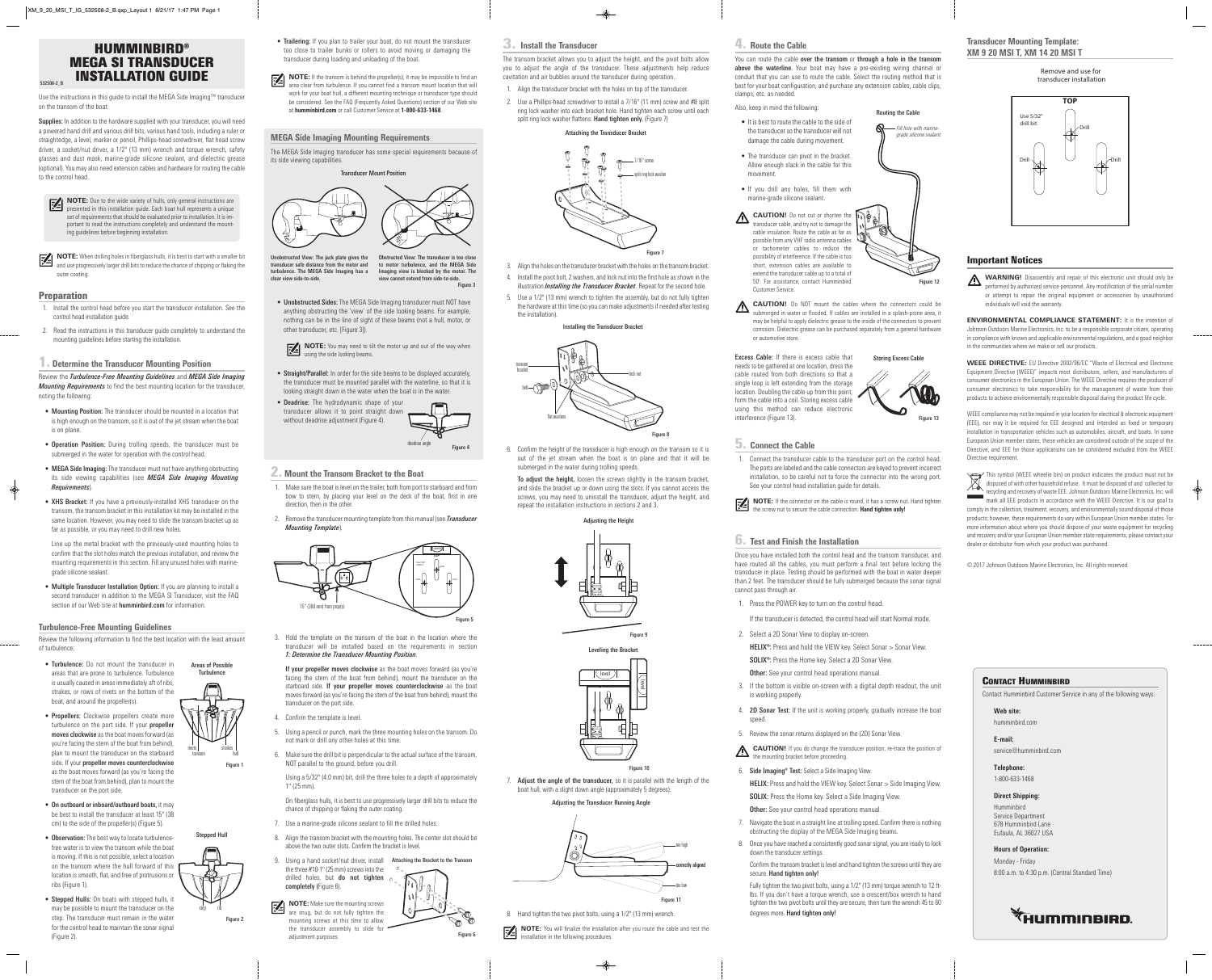Use the instructions in this guide to install the MEGA Side Imaging™ transducer on the transom of the boat.

Supplies: In addition to the hardware supplied with your transducer, you will need a powered hand drill and various drill bits, various hand tools, including a ruler or straightedge, a level, marker or pencil, Phillips-head screwdriver, flat head screw driver, a socket/nut driver, a 1/2" (13 mm) wrench and torque wrench, safety glasses and dust mask, marine-grade silicone sealant, and dielectric grease (optional). You may also need extension cables and hardware for routing the cable to the control head.

**NOTE:** When drilling holes in fiberglass hulls, it is best to start with a smaller bit and use programme levels and like the start with a smaller bit and use progressively larger drill bits to reduce the chance of chipping or flaking the outer coating.

### **Preparation**

- 1. Install the control head before you start the transducer installation. See the control head installation guide.
- 2. Read the instructions in this transducer guide completely to understand the mounting guidelines before starting the installation.

## **1. Determine the Transducer Mounting Position**

Review the *Turbulence-Free Mounting Guidelines* and *MEGA Side Imaging Mounting Requirements* to find the best mounting location for the transducer, noting the following:

- Mounting Position: The transducer should be mounted in a location that is high enough on the transom, so it is out of the jet stream when the boat is on plane.
- Operation Position: During trolling speeds, the transducer must be submerged in the water for operation with the control head.
- MEGA Side Imaging: The transducer must not have anything obstructing its side viewing capabilities (see *MEGA Side Imaging Mounting Requirements*).
- XHS Bracket: If you have a previously-installed XHS transducer on the transom, the transom bracket in this installation kit may be installed in the same location. However, you may need to slide the transom bracket up as far as possible, or you may need to drill new holes.

**NOTE:** Due to the wide variety of hulls, only general instructions are presented in this installation guide. Each boat hull represents a unique set of requirements that should be evaluated prior to installation. It is important to read the instructions completely and understand the mounting guidelines before beginning installation.

Line up the metal bracket with the previously-used mounting holes to confirm that the slot holes match the previous installation, and review the mounting requirements in this section. Fill any unused holes with marinegrade silicone sealant.

• Multiple Transducer Installation Option: If you are planning to install a second transducer in addition to the MEGA SI Transducer, visit the FAQ section of our Web site at humminbird.com for information.

## **Turbulence-Free Mounting Guidelines**

Review the following information to find the best location with the least amount of turbulence:

• Unobstructed Sides: The MEGA Side Imaging transducer must NOT have anything obstructing the 'view' of the side looking beams. For example, nothing can be in the line of sight of these beams (not a hull, motor, or other transducer, etc. [Figure 3]).

**NOTE:** You may need to tilt the motor up and out of the way when using the side looking beams.

- Turbulence: Do not mount the transducer in areas that are prone to turbulence. Turbulence is usually caused in areas immediately aft of ribs, strakes, or rows of rivets on the bottom of the boat, and around the propeller(s).
- **Propellers:** Clockwise propellers create more turbulence on the port side. If your propeller moves clockwise as the boat moves forward (as you're facing the stern of the boat from behind), plan to mount the transducer on the starboard side. If your propeller moves counterclockwise as the boat moves forward (as you're facing the stern of the boat from behind), plan to mount the transducer on the port side.
- On outboard or inboard/outboard boats, it may be best to install the transducer at least 15" (38 cm) to the side of the propeller(s) (Figure 5).
- Observation: The best way to locate turbulencefree water is to view the transom while the boat is moving. If this is not possible, select a location on the transom where the hull forward of this location is smooth, flat, and free of protrusions or ribs (Figure 1).
- Stepped Hulls: On boats with stepped hulls, it may be possible to mount the transducer on the step. The transducer must remain in the water for the control head to maintain the sonar signal (Figure 2).

If your propeller moves clockwise as the boat moves forward (as you're facing the stern of the boat from behind), mount the transducer on the starboard side. If your propeller moves counterclockwise as the boat moves forward (as you're facing the stern of the boat from behind), mount the transducer on the port side.

- 7. Use a marine-grade silicone sealant to fill the drilled holes.
- 8. Align the transom bracket with the mounting holes. The center slot should be above the two outer slots. Confirm the bracket is level.
- 9. Using a hand socket/nut driver, install Attaching the Bracket to the Transom the three  $#10-1"$  (25 mm) screws into the
- drilled holes, but do not tighten  $\epsilon$ completely (Figure 6).





- 1. Align the transducer bracket with the holes on top of the transducer.
- 2. Use a Phillips-head screwdriver to install a 7/16" (11 mm) screw and #8 split ring lock washer into each bracket hole. Hand tighten each screw until each split ring lock washer flattens. Hand tighten only. (Figure 7)



step rib





- 3. Align the holes on the transducer bracket with the holes on the transom bracket.
- 4. Install the pivot bolt, 2 washers, and lock nut into the first hole asshown in the illustration *Installing the Transducer Bracket*. Repeat for the second hole.
- 5. Use a 1/2" (13 mm) wrench to tighten the assembly, but do not fully tighten the hardware at this time (so you can make adjustments if needed after testing the installation).
- Trailering: If you plan to trailer your boat, do not mount the transducer too close to trailer bunks or rollers to avoid moving or damaging the transducer during loading and unloading of the boat.
- **NOTE:** If the transom is behind the propeller(s), it may be impossible to find an area clear from turbulence. If you cannot find a transom mount location that will work for your boat hull, a different mounting technique or transducer type should be considered. See the FAQ (Frequently Asked Questions) section of our Web site at **humminbird.com** or call Customer Service at **1-800-633-1468**.

7. Adjust the angle of the transducer, so it is parallel with the length of the boat hull, with a slight down angle (approximately 5 degrees).

## **MEGA Side Imaging Mounting Requirements**

**NOTE:** You will finalize the installation after you route the cable and test the installation in the following proportions installation in the following procedures.

The MEGA Side Imaging transducer has some special requirements because of its side viewing capabilities.

- Straight/Parallel: In order for the side beams to be displayed accurately, the transducer must be mounted parallel with the waterline, so that it is looking straight down in the water when the boat is in the water.
- Deadrise: The hydrodynamic shape of your transducer allows it to point straight down without deadrise adjustment (Figure 4).

### **2. Mount the Transom Bracket to the Boat**

- 1. Make sure the boat islevel on the trailer, both from port to starboard and from bow to stern, by placing your level on the deck of the boat, first in one direction, then in the other.
- 2. Remove the transducer mounting template from this manual (see *Transducer Mounting Template*).

Excess Cable: If there is excess cable that needs to be gathered at one location, dress the cable routed from both directions so that a single loop is left extending from the storage location. Doubling the cable up from this point, form the cable into a coil. Storing excess cable using this method can reduce electronic interference (Figure 13).

3. Hold the template on the transom of the boat in the location where the transducer will be installed based on the requirements in section *1: Determine the Transducer Mounting Position*.

**NOTE:** If the connector on the cable is round, it has a screw nut. Hand tighten the screw nut to society the scribes of the screw nutrition of the screw nutrition of the screw nutrition of the screw nutrition of the screw the screw nut to secure the cable connection. **Hand tighten only!**

- 4. Confirm the template is level.
- 5. Using a pencil or punch, markthe three mounting holes on the transom. Do not mark or drill any other holes at this time.
- 6. Make sure the drill bit is perpendicular to the actual surface of the transom, NOT parallel to the ground, before you drill.

HELIX: Press and hold the VIEW key. Select Sonar > Side Imaging View. SOLIX: Press the Home key. Select a Side Imaging View.

**Other:** See your control head operations manual.

Using a 5/32" (4.0 mm) bit, drill the three holes to a depth of approximately 1" (25 mm).

On fiberglass hulls, it is best to use progressively larger drill bits to reduce the chance of chipping or flaking the outer coating.

> Confirm the transom bracket is level and hand tighten the screws until they are secure. Hand tighten only!

> Fully tighten the two pivot bolts, using a 1/2" (13 mm) torque wrench to 12 ftlbs. If you don't have a torque wrench, use a crescent/box wrench to hand tighten the two pivot bolts until they are secure, then turn the wrench 45 to 60 degrees more. Hand tighten only!

**WARNING!** Disassembly and repair of this electronic unit should only be performed by authorized service personnel. Any modification of the serial number or attempt to repair the original equipment or accessories by unauthorized individuals will void the warranty.

**NOTE:** Make sure the mounting screws



are snug, but do not fully tighten the mounting screws at this time to allow the transducer assembly to slide for adjustment purposes.



Unobstructed View: The jack plate gives the transducer safe distance from the motor and turbulence. The MEGA Side Imaging has a clear view side-to-side.

Obstructed View: The transducer is too close to motor turbulence, and the MEGA Side Imaging view is blocked by the motor. The view cannot extend from side-to-side. Figure 3



WEEE compliance may not be required in your location for electrical & electronic equipment (EEE), nor may it be required for EEE designed and intended as fixed or temporary installation in transportation vehicles such as automobiles, aircraft, and boats. In some European Union member states, these vehicles are considered outside of the scope of the Directive, and EEE for those applications can be considered excluded from the WEEE Directive requirement.



Figure 6

# **3. Install the Transducer**

The transom bracket allows you to adjust the height, and the pivot bolts allow you to adjust the angle of the transducer. These adjustments help reduce cavitation and air bubbles around the transducer during operation.

> mark all EEE products in accordance with the WEEE Directive. It is our goal to comply in the collection, treatment, recovery, and environmentally sound disposal of those products; however, these requirements do vary within European Union member states. For more information about where you should dispose of your waste equipment for recycling and recovery and/or your European Union member state requirements, please contact your dealer or distributor from which your product was purchased.

the transducer so the transducer will not Allow enough slack in the cable for this • If you drill any holes, fill them with **CAUTION!** Do not cut or shorten the transducer cable, and try not to damage the cable insulation. Route the cable as far as possible from any VHF radio antenna cables or tachometer cables to reduce the possibility of interference. If the cable is too short, extension cables are available to extend the transducer cable up to a total of *grade silicone sealant.*

6. Confirm the height of the transducer is high enough on the transom so it is out of the jet stream when the boat is on plane and that it will be submerged in the water during trolling speeds.

To adjust the height, loosen the screws slightly in the transom bracket, and slide the bracket up or down using the slots. If you cannot access the screws, you may need to uninstall the transducer, adjust the height, and repeat the installation instructions in sections 2 and 3.

8. Hand tighten the two pivot bolts, using a 1/2" (13 mm) wrench.

### Attaching the Transducer Bracket



Installing the Transducer Bracket





Figure 9





Figure 10



### Adjusting the Transducer Running Angle

too high

rrectly aligne

too low

### **4. Route the Cable**

clamps, etc. as needed.

Also, keep in mind the following:

• It is best to route the cable to the side of

damage the cable during movement.

• The transducer can pivot in the bracket.

movement.

marine-grade silicone sealant.

50'. For assistance, contact Humminbird

Customer Service.

**CAUTION!** Do NOT mount the cables where the connectors could be <u> /\</u> submerged in water or flooded. If cables are installed in a splash-prone area, it may be helpful to apply dielectric grease to the inside of the connectors to prevent corrosion. Dielectric grease can be purchased separately from a general hardware or automotive store.

You can route the cable over the transom or through a hole in the transom above the waterline. Your boat may have a pre-existing wiring channel or conduit that you can use to route the cable. Select the routing method that is best for your boat configuration, and purchase any extension cables, cable clips,

## **5. Connect the Cable**

1. Connect the transducer cable to the transducer port on the control head. The ports are labeled and the cable connectors are keyed to prevent incorrect installation, so be careful not to force the connector into the wrong port. See your control head installation guide for details.

### **6. Test and Finish the Installation**

Once you have installed both the control head and the transom transducer, and have routed all the cables, you must perform a final test before locking the transducer in place. Testing should be performed with the boat in water deeper than 2 feet. The transducer should be fully submerged because the sonar signal cannot pass through air.

- 1. Press the POWER key to turn on the control head.
- If the transducer is detected, the control head will start Normal mode.
- 2. Select a 2D Sonar View to display on-screen.
	- HELIX®: Press and hold the VIEW key. Select Sonar > Sonar View.

SOLIX®: Press the Home key. Select a 2D Sonar View.

Other: See your control head operations manual.

- 3. If the bottom is visible on-screen with a digital depth readout, the unit is working properly.
- 4. **2D Sonar Test:** If the unit is working properly, gradually increase the boat speed.
- 5. Review the sonar returns displayed on the (2D) Sonar View.

**CAUTION!** If you do change the transducer position, re-trace the position of **the mounting bracket before proceeding.**<br>the mounting bracket before proceeding.

6. Side Imaging® Test: Select a Side Imaging View.

- 7. Navigate the boat in a straight line at trolling speed. Confirm there is nothing obstructing the display of the MEGA Side Imaging beams.
- 8. Once you have reached a consistently good sonar signal, you are ready to lock down the transducer settings.

Storing Excess Cable

### **Transducer Mounting Template: XM 9 20 MSI T, XM 14 20 MSI T**

### **Important Notices**



**ENVIRONMENTAL COMPLIANCE STATEMENT:** It is the intention of Johnson Outdoors Marine Electronics, Inc. to be a responsible corporate citizen, operating in compliance with known and applicable environmental regulations, and a good neighbor in the communities where we make or sell our products.

**WEEE DIRECTIVE:** EU Directive 2002/96/EC "Waste of Electrical and Electronic Equipment Directive (WEEE)" impacts most distributors, sellers, and manufacturers of consumer electronics in the European Union. The WEEE Directive requires the producer of consumer electronics to take responsibility for the management of waste from their products to achieve environmentally responsible disposal during the product life cycle.



© 2017 Johnson Outdoors Marine Electronics, Inc. All rights reserved.

### **CONTACT HUMMINBIRD**

Contact Humminbird Customer Service in any of the following ways:

### **Web site:**

humminbird.com

**E-mail:**

service@humminbird.com

**Telephone:** 1-800-633-1468

## **Direct Shipping:**

Humminbird Service Department 678 Humminbird Lane Eufaula, AL 36027 USA

**Hours of Operation:**

Monday - Friday 8:00 a.m. to 4:30 p.m. (Central Standard Time)





#### Remove and use for transducer installation

# **HUMMINBIRD® MEGA SI TRANSDUCER INSTALLATION GUIDE** 532508-2\_B

Routing the Cable

Figure 12

Figure 13

*Fill hole with marine-*